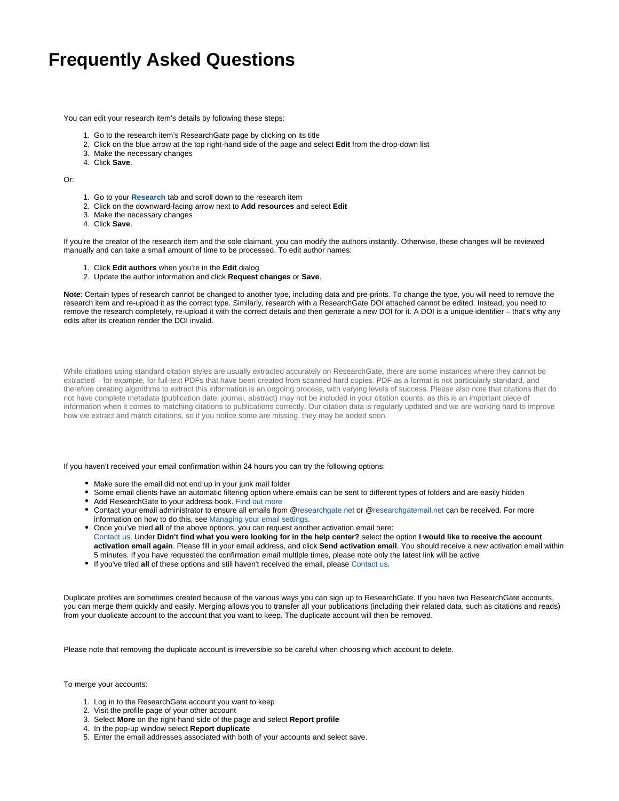## **Frequently Asked Questions**

You can edit your research item's details by following these steps:

- 1. Go to the research item's ResearchGate page by clicking on its title
- 2. Click on the blue arrow at the top right-hand side of the page and select **Edit** from the drop-down list
- 3. Make the necessary changes
- 4. Click **Save**.

Or:

- 1. Go to your **[Research](https://www.researchgate.net/go.Profile.research.html)** tab and scroll down to the research item
- 2. Click on the downward-facing arrow next to **Add resources** and select **Edit**
- 3. Make the necessary changes
- 4. Click **Save**.

If you're the creator of the research item and the sole claimant, you can modify the authors instantly. Otherwise, these changes will be reviewed manually and can take a small amount of time to be processed. To edit author names:

- 1. Click **Edit authors** when you're in the **Edit** dialog
- 2. Update the author information and click **Request changes** or **Save**.

**Note**: Certain types of research cannot be changed to another type, including data and pre-prints. To change the type, you will need to remove the research item and re-upload it as the correct type. Similarly, research with a ResearchGate DOI attached cannot be edited. Instead, you need to remove the research completely, re-upload it with the correct details and then generate a new DOI for it. A DOI is a unique identifier – that's why any edits after its creation render the DOI invalid.

While citations using standard citation styles are usually extracted accurately on ResearchGate, there are some instances where they cannot be extracted – for example, for full-text PDFs that have been created from scanned hard copies. PDF as a format is not particularly standard, and therefore creating algorithms to extract this information is an ongoing process, with varying levels of success. Please also note that citations that do not have complete metadata (publication date, journal, abstract) may not be included in your citation counts, as this is an important piece of information when it comes to matching citations to publications correctly. Our citation data is regularly updated and we are working hard to improve how we extract and match citations, so if you notice some are missing, they may be added soon.

If you haven't received your email confirmation within 24 hours you can try the following options:

- Make sure the email did not end up in your junk mail folder
- Some email clients have an automatic filtering option where emails can be sent to different types of folders and are easily hidden
- Add ResearchGate to your address book. [Find out more](https://www.researchgate.net/application.EmailInstructions.html)
- Contact your email administrator to ensure all emails from [@researchgate.net](http://researchgate.net/) or [@researchgatemail.net](http://researchgatmail.net/) can be received. For more information on how to do this, see [Managing your email settings.](https://explore.researchgate.net/display/support/Managing+your+email+settings)
- Once you've tried **all** of the above options, you can request another activation email here: [Contact us.](https://www.researchgate.net/contact?type=resend_confirmation) Under **Didn't find what you were looking for in the help center?** select the option **I would like to receive the account activation email again**. Please fill in your email address, and click **Send activation email**. You should receive a new activation email within 5 minutes. If you have requested the confirmation email multiple times, please note only the latest link will be active
- If you've tried **all** of these options and still haven't received the email, please [Contact us.](https://www.researchgate.net/contact?type=contact_registration)

Duplicate profiles are sometimes created because of the various ways you can sign up to ResearchGate. If you have two ResearchGate accounts, you can merge them quickly and easily. Merging allows you to transfer all your publications (including their related data, such as citations and reads) from your duplicate account to the account that you want to keep. The duplicate account will then be removed.

Please note that removing the duplicate account is irreversible so be careful when choosing which account to delete.

To merge your accounts:

- 1. Log in to the ResearchGate account you want to keep
- 2. Visit the profile page of your other account
- 3. Select **More** on the right-hand side of the page and select **Report profile**
- 4. In the pop-up window select **Report duplicate**
- 5. Enter the email addresses associated with both of your accounts and select save.